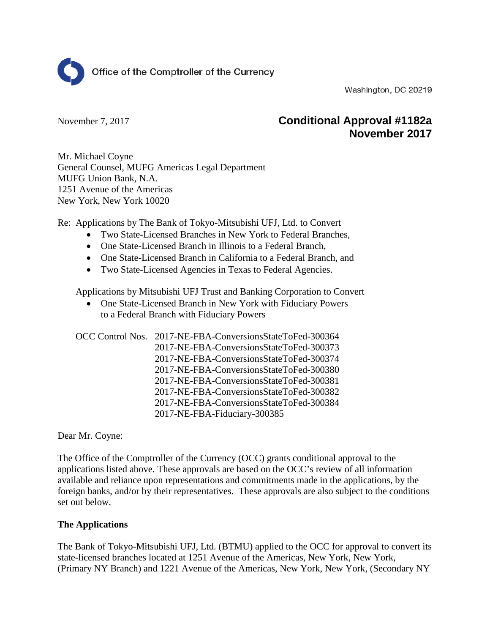

Washington, DC 20219

# November 7, 2017 **Conditional Approval #1182a November 2017**

Mr. Michael Coyne General Counsel, MUFG Americas Legal Department MUFG Union Bank, N.A. 1251 Avenue of the Americas New York, New York 10020

Re: Applications by The Bank of Tokyo-Mitsubishi UFJ, Ltd. to Convert

- Two State-Licensed Branches in New York to Federal Branches,
- One State-Licensed Branch in Illinois to a Federal Branch,
- One State-Licensed Branch in California to a Federal Branch, and
- Two State-Licensed Agencies in Texas to Federal Agencies.

Applications by Mitsubishi UFJ Trust and Banking Corporation to Convert

• One State-Licensed Branch in New York with Fiduciary Powers to a Federal Branch with Fiduciary Powers

OCC Control Nos. 2017-NE-FBA-ConversionsStateToFed-300364 2017-NE-FBA-ConversionsStateToFed-300373 2017-NE-FBA-ConversionsStateToFed-300374 2017-NE-FBA-ConversionsStateToFed-300380 2017-NE-FBA-ConversionsStateToFed-300381 2017-NE-FBA-ConversionsStateToFed-300382 2017-NE-FBA-ConversionsStateToFed-300384 2017-NE-FBA-Fiduciary-300385

Dear Mr. Coyne:

The Office of the Comptroller of the Currency (OCC) grants conditional approval to the applications listed above. These approvals are based on the OCC's review of all information available and reliance upon representations and commitments made in the applications, by the foreign banks, and/or by their representatives. These approvals are also subject to the conditions set out below.

# **The Applications**

The Bank of Tokyo-Mitsubishi UFJ, Ltd. (BTMU) applied to the OCC for approval to convert its state-licensed branches located at 1251 Avenue of the Americas, New York, New York, (Primary NY Branch) and 1221 Avenue of the Americas, New York, New York, (Secondary NY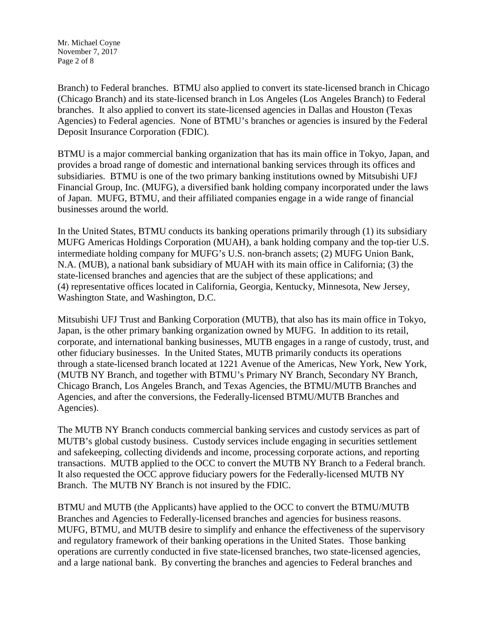Mr. Michael Coyne November 7, 2017 Page 2 of 8

Branch) to Federal branches. BTMU also applied to convert its state-licensed branch in Chicago (Chicago Branch) and its state-licensed branch in Los Angeles (Los Angeles Branch) to Federal branches. It also applied to convert its state-licensed agencies in Dallas and Houston (Texas Agencies) to Federal agencies. None of BTMU's branches or agencies is insured by the Federal Deposit Insurance Corporation (FDIC).

BTMU is a major commercial banking organization that has its main office in Tokyo, Japan, and provides a broad range of domestic and international banking services through its offices and subsidiaries. BTMU is one of the two primary banking institutions owned by Mitsubishi UFJ Financial Group, Inc. (MUFG), a diversified bank holding company incorporated under the laws of Japan. MUFG, BTMU, and their affiliated companies engage in a wide range of financial businesses around the world.

In the United States, BTMU conducts its banking operations primarily through (1) its subsidiary MUFG Americas Holdings Corporation (MUAH), a bank holding company and the top-tier U.S. intermediate holding company for MUFG's U.S. non-branch assets; (2) MUFG Union Bank, N.A. (MUB), a national bank subsidiary of MUAH with its main office in California; (3) the state-licensed branches and agencies that are the subject of these applications; and (4) representative offices located in California, Georgia, Kentucky, Minnesota, New Jersey, Washington State, and Washington, D.C.

Mitsubishi UFJ Trust and Banking Corporation (MUTB), that also has its main office in Tokyo, Japan, is the other primary banking organization owned by MUFG. In addition to its retail, corporate, and international banking businesses, MUTB engages in a range of custody, trust, and other fiduciary businesses. In the United States, MUTB primarily conducts its operations through a state-licensed branch located at 1221 Avenue of the Americas, New York, New York, (MUTB NY Branch, and together with BTMU's Primary NY Branch, Secondary NY Branch, Chicago Branch, Los Angeles Branch, and Texas Agencies, the BTMU/MUTB Branches and Agencies, and after the conversions, the Federally-licensed BTMU/MUTB Branches and Agencies).

The MUTB NY Branch conducts commercial banking services and custody services as part of MUTB's global custody business. Custody services include engaging in securities settlement and safekeeping, collecting dividends and income, processing corporate actions, and reporting transactions. MUTB applied to the OCC to convert the MUTB NY Branch to a Federal branch. It also requested the OCC approve fiduciary powers for the Federally-licensed MUTB NY Branch. The MUTB NY Branch is not insured by the FDIC.

BTMU and MUTB (the Applicants) have applied to the OCC to convert the BTMU/MUTB Branches and Agencies to Federally-licensed branches and agencies for business reasons. MUFG, BTMU, and MUTB desire to simplify and enhance the effectiveness of the supervisory and regulatory framework of their banking operations in the United States. Those banking operations are currently conducted in five state-licensed branches, two state-licensed agencies, and a large national bank. By converting the branches and agencies to Federal branches and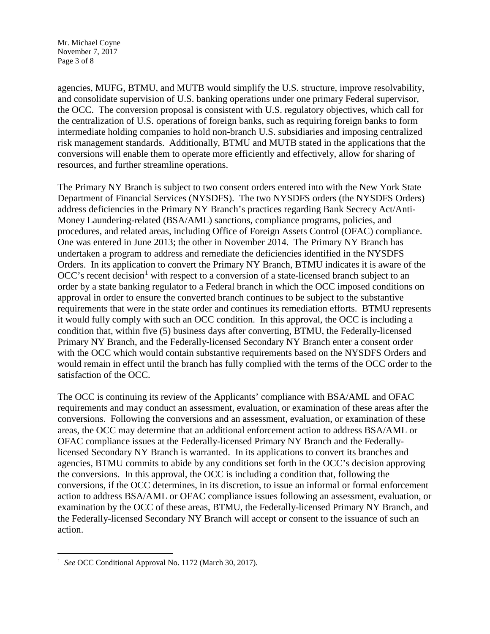Mr. Michael Coyne November 7, 2017 Page 3 of 8

agencies, MUFG, BTMU, and MUTB would simplify the U.S. structure, improve resolvability, and consolidate supervision of U.S. banking operations under one primary Federal supervisor, the OCC. The conversion proposal is consistent with U.S. regulatory objectives, which call for the centralization of U.S. operations of foreign banks, such as requiring foreign banks to form intermediate holding companies to hold non-branch U.S. subsidiaries and imposing centralized risk management standards. Additionally, BTMU and MUTB stated in the applications that the conversions will enable them to operate more efficiently and effectively, allow for sharing of resources, and further streamline operations.

The Primary NY Branch is subject to two consent orders entered into with the New York State Department of Financial Services (NYSDFS). The two NYSDFS orders (the NYSDFS Orders) address deficiencies in the Primary NY Branch's practices regarding Bank Secrecy Act/Anti-Money Laundering-related (BSA/AML) sanctions, compliance programs, policies, and procedures, and related areas, including Office of Foreign Assets Control (OFAC) compliance. One was entered in June 2013; the other in November 2014. The Primary NY Branch has undertaken a program to address and remediate the deficiencies identified in the NYSDFS Orders. In its application to convert the Primary NY Branch, BTMU indicates it is aware of the  $OCC$ 's recent decision<sup>[1](#page-2-0)</sup> with respect to a conversion of a state-licensed branch subject to an order by a state banking regulator to a Federal branch in which the OCC imposed conditions on approval in order to ensure the converted branch continues to be subject to the substantive requirements that were in the state order and continues its remediation efforts. BTMU represents it would fully comply with such an OCC condition. In this approval, the OCC is including a condition that, within five (5) business days after converting, BTMU, the Federally-licensed Primary NY Branch, and the Federally-licensed Secondary NY Branch enter a consent order with the OCC which would contain substantive requirements based on the NYSDFS Orders and would remain in effect until the branch has fully complied with the terms of the OCC order to the satisfaction of the OCC.

The OCC is continuing its review of the Applicants' compliance with BSA/AML and OFAC requirements and may conduct an assessment, evaluation, or examination of these areas after the conversions. Following the conversions and an assessment, evaluation, or examination of these areas, the OCC may determine that an additional enforcement action to address BSA/AML or OFAC compliance issues at the Federally-licensed Primary NY Branch and the Federallylicensed Secondary NY Branch is warranted. In its applications to convert its branches and agencies, BTMU commits to abide by any conditions set forth in the OCC's decision approving the conversions. In this approval, the OCC is including a condition that, following the conversions, if the OCC determines, in its discretion, to issue an informal or formal enforcement action to address BSA/AML or OFAC compliance issues following an assessment, evaluation, or examination by the OCC of these areas, BTMU, the Federally-licensed Primary NY Branch, and the Federally-licensed Secondary NY Branch will accept or consent to the issuance of such an action.

<span id="page-2-0"></span><sup>&</sup>lt;sup>1</sup> *See* OCC Conditional Approval No. 1172 (March 30, 2017).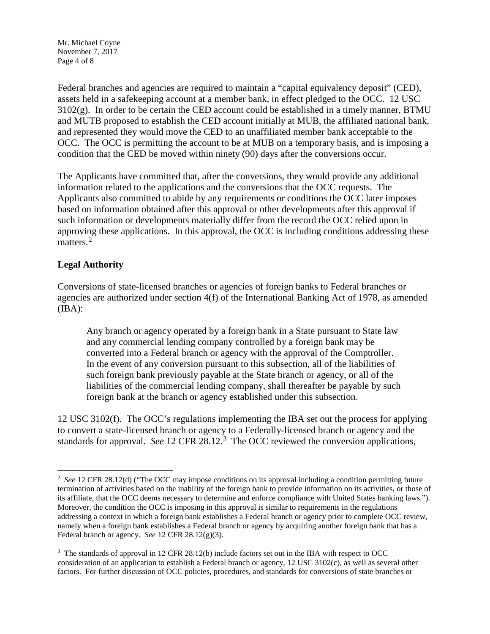Mr. Michael Coyne November 7, 2017 Page 4 of 8

Federal branches and agencies are required to maintain a "capital equivalency deposit" (CED), assets held in a safekeeping account at a member bank, in effect pledged to the OCC. 12 USC 3102(g). In order to be certain the CED account could be established in a timely manner, BTMU and MUTB proposed to establish the CED account initially at MUB, the affiliated national bank, and represented they would move the CED to an unaffiliated member bank acceptable to the OCC. The OCC is permitting the account to be at MUB on a temporary basis, and is imposing a condition that the CED be moved within ninety (90) days after the conversions occur.

The Applicants have committed that, after the conversions, they would provide any additional information related to the applications and the conversions that the OCC requests. The Applicants also committed to abide by any requirements or conditions the OCC later imposes based on information obtained after this approval or other developments after this approval if such information or developments materially differ from the record the OCC relied upon in approving these applications. In this approval, the OCC is including conditions addressing these matters.<sup>[2](#page-3-0)</sup>

### **Legal Authority**

Conversions of state-licensed branches or agencies of foreign banks to Federal branches or agencies are authorized under section 4(f) of the International Banking Act of 1978, as amended  $(IBA):$ 

Any branch or agency operated by a foreign bank in a State pursuant to State law and any commercial lending company controlled by a foreign bank may be converted into a Federal branch or agency with the approval of the Comptroller. In the event of any conversion pursuant to this subsection, all of the liabilities of such foreign bank previously payable at the State branch or agency, or all of the liabilities of the commercial lending company, shall thereafter be payable by such foreign bank at the branch or agency established under this subsection.

12 USC 3102(f). The OCC's regulations implementing the IBA set out the process for applying to convert a state-licensed branch or agency to a Federally-licensed branch or agency and the standards for approval. *See* 12 CFR 28.12. [3](#page-3-1) The OCC reviewed the conversion applications,

<span id="page-3-0"></span> $\frac{1}{2}$ <sup>2</sup> See 12 CFR 28.12(d) ("The OCC may impose conditions on its approval including a condition permitting future termination of activities based on the inability of the foreign bank to provide information on its activities, or those of its affiliate, that the OCC deems necessary to determine and enforce compliance with United States banking laws."). Moreover, the condition the OCC is imposing in this approval is similar to requirements in the regulations addressing a context in which a foreign bank establishes a Federal branch or agency prior to complete OCC review, namely when a foreign bank establishes a Federal branch or agency by acquiring another foreign bank that has a Federal branch or agency. *See* 12 CFR 28.12(g)(3).

<span id="page-3-1"></span><sup>&</sup>lt;sup>3</sup> The standards of approval in 12 CFR 28.12(b) include factors set out in the IBA with respect to OCC consideration of an application to establish a Federal branch or agency, 12 USC 3102(c), as well as several other factors. For further discussion of OCC policies, procedures, and standards for conversions of state branches or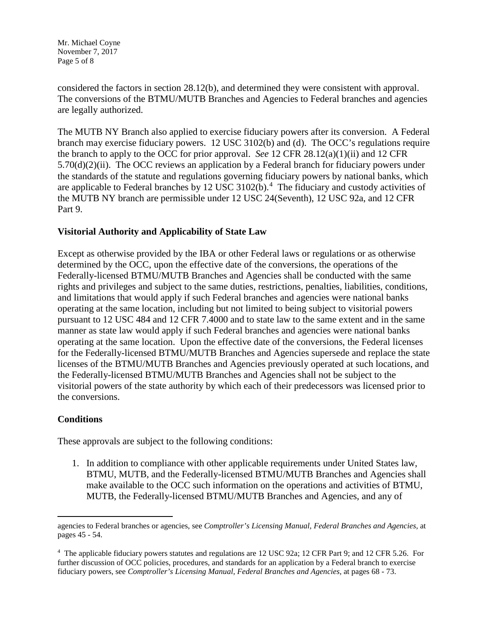Mr. Michael Coyne November 7, 2017 Page 5 of 8

considered the factors in section 28.12(b), and determined they were consistent with approval. The conversions of the BTMU/MUTB Branches and Agencies to Federal branches and agencies are legally authorized.

The MUTB NY Branch also applied to exercise fiduciary powers after its conversion. A Federal branch may exercise fiduciary powers. 12 USC 3102(b) and (d). The OCC's regulations require the branch to apply to the OCC for prior approval. *See* 12 CFR 28.12(a)(1)(ii) and 12 CFR  $5.70(d)(2)(ii)$ . The OCC reviews an application by a Federal branch for fiduciary powers under the standards of the statute and regulations governing fiduciary powers by national banks, which are applicable to Federal branches by 12 USC 3102(b).<sup>[4](#page-4-0)</sup> The fiduciary and custody activities of the MUTB NY branch are permissible under 12 USC 24(Seventh), 12 USC 92a, and 12 CFR Part 9.

### **Visitorial Authority and Applicability of State Law**

Except as otherwise provided by the IBA or other Federal laws or regulations or as otherwise determined by the OCC, upon the effective date of the conversions, the operations of the Federally-licensed BTMU/MUTB Branches and Agencies shall be conducted with the same rights and privileges and subject to the same duties, restrictions, penalties, liabilities, conditions, and limitations that would apply if such Federal branches and agencies were national banks operating at the same location, including but not limited to being subject to visitorial powers pursuant to 12 USC 484 and 12 CFR 7.4000 and to state law to the same extent and in the same manner as state law would apply if such Federal branches and agencies were national banks operating at the same location. Upon the effective date of the conversions, the Federal licenses for the Federally-licensed BTMU/MUTB Branches and Agencies supersede and replace the state licenses of the BTMU/MUTB Branches and Agencies previously operated at such locations, and the Federally-licensed BTMU/MUTB Branches and Agencies shall not be subject to the visitorial powers of the state authority by which each of their predecessors was licensed prior to the conversions.

#### **Conditions**

 $\overline{a}$ 

These approvals are subject to the following conditions:

1. In addition to compliance with other applicable requirements under United States law, BTMU, MUTB, and the Federally-licensed BTMU/MUTB Branches and Agencies shall make available to the OCC such information on the operations and activities of BTMU, MUTB, the Federally-licensed BTMU/MUTB Branches and Agencies, and any of

agencies to Federal branches or agencies, see *Comptroller's Licensing Manual, Federal Branches and Agencies,* at pages 45 - 54.

<span id="page-4-0"></span><sup>4</sup> The applicable fiduciary powers statutes and regulations are 12 USC 92a; 12 CFR Part 9; and 12 CFR 5.26. For further discussion of OCC policies, procedures, and standards for an application by a Federal branch to exercise fiduciary powers, see *Comptroller's Licensing Manual, Federal Branches and Agencies,* at pages 68 - 73.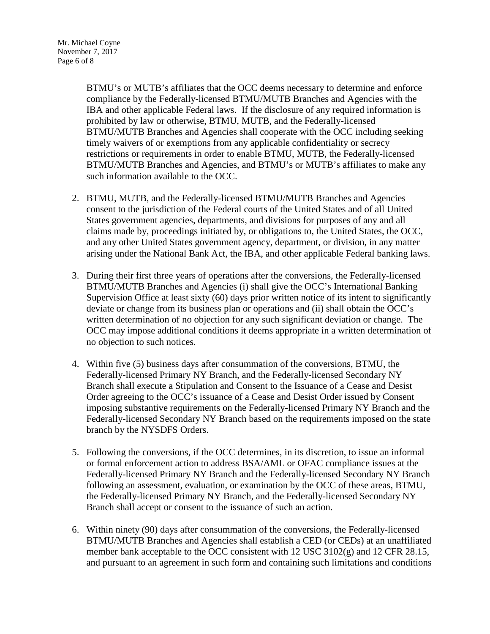BTMU's or MUTB's affiliates that the OCC deems necessary to determine and enforce compliance by the Federally-licensed BTMU/MUTB Branches and Agencies with the IBA and other applicable Federal laws. If the disclosure of any required information is prohibited by law or otherwise, BTMU, MUTB, and the Federally-licensed BTMU/MUTB Branches and Agencies shall cooperate with the OCC including seeking timely waivers of or exemptions from any applicable confidentiality or secrecy restrictions or requirements in order to enable BTMU, MUTB, the Federally-licensed BTMU/MUTB Branches and Agencies, and BTMU's or MUTB's affiliates to make any such information available to the OCC.

- 2. BTMU, MUTB, and the Federally-licensed BTMU/MUTB Branches and Agencies consent to the jurisdiction of the Federal courts of the United States and of all United States government agencies, departments, and divisions for purposes of any and all claims made by, proceedings initiated by, or obligations to, the United States, the OCC, and any other United States government agency, department, or division, in any matter arising under the National Bank Act, the IBA, and other applicable Federal banking laws.
- 3. During their first three years of operations after the conversions, the Federally-licensed BTMU/MUTB Branches and Agencies (i) shall give the OCC's International Banking Supervision Office at least sixty (60) days prior written notice of its intent to significantly deviate or change from its business plan or operations and (ii) shall obtain the OCC's written determination of no objection for any such significant deviation or change. The OCC may impose additional conditions it deems appropriate in a written determination of no objection to such notices.
- 4. Within five (5) business days after consummation of the conversions, BTMU, the Federally-licensed Primary NY Branch, and the Federally-licensed Secondary NY Branch shall execute a Stipulation and Consent to the Issuance of a Cease and Desist Order agreeing to the OCC's issuance of a Cease and Desist Order issued by Consent imposing substantive requirements on the Federally-licensed Primary NY Branch and the Federally-licensed Secondary NY Branch based on the requirements imposed on the state branch by the NYSDFS Orders.
- 5. Following the conversions, if the OCC determines, in its discretion, to issue an informal or formal enforcement action to address BSA/AML or OFAC compliance issues at the Federally-licensed Primary NY Branch and the Federally-licensed Secondary NY Branch following an assessment, evaluation, or examination by the OCC of these areas, BTMU, the Federally-licensed Primary NY Branch, and the Federally-licensed Secondary NY Branch shall accept or consent to the issuance of such an action.
- 6. Within ninety (90) days after consummation of the conversions, the Federally-licensed BTMU/MUTB Branches and Agencies shall establish a CED (or CEDs) at an unaffiliated member bank acceptable to the OCC consistent with 12 USC 3102(g) and 12 CFR 28.15, and pursuant to an agreement in such form and containing such limitations and conditions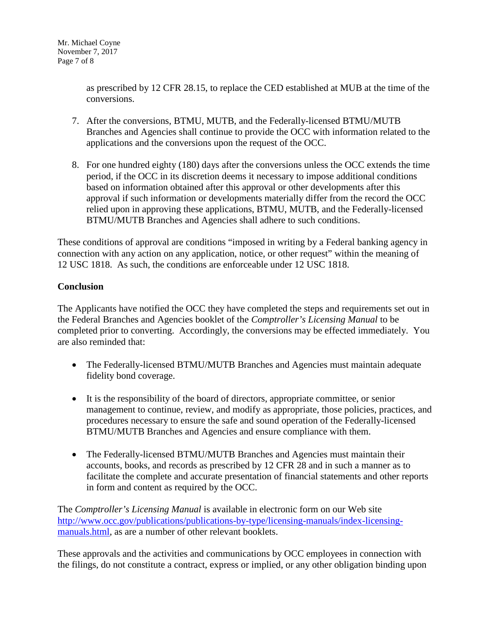as prescribed by 12 CFR 28.15, to replace the CED established at MUB at the time of the conversions.

- 7. After the conversions, BTMU, MUTB, and the Federally-licensed BTMU/MUTB Branches and Agencies shall continue to provide the OCC with information related to the applications and the conversions upon the request of the OCC.
- 8. For one hundred eighty (180) days after the conversions unless the OCC extends the time period, if the OCC in its discretion deems it necessary to impose additional conditions based on information obtained after this approval or other developments after this approval if such information or developments materially differ from the record the OCC relied upon in approving these applications, BTMU, MUTB, and the Federally-licensed BTMU/MUTB Branches and Agencies shall adhere to such conditions.

These conditions of approval are conditions "imposed in writing by a Federal banking agency in connection with any action on any application, notice, or other request" within the meaning of 12 USC 1818. As such, the conditions are enforceable under 12 USC 1818.

# **Conclusion**

The Applicants have notified the OCC they have completed the steps and requirements set out in the Federal Branches and Agencies booklet of the *Comptroller's Licensing Manual* to be completed prior to converting. Accordingly, the conversions may be effected immediately. You are also reminded that:

- The Federally-licensed BTMU/MUTB Branches and Agencies must maintain adequate fidelity bond coverage.
- It is the responsibility of the board of directors, appropriate committee, or senior management to continue, review, and modify as appropriate, those policies, practices, and procedures necessary to ensure the safe and sound operation of the Federally-licensed BTMU/MUTB Branches and Agencies and ensure compliance with them.
- The Federally-licensed BTMU/MUTB Branches and Agencies must maintain their accounts, books, and records as prescribed by 12 CFR 28 and in such a manner as to facilitate the complete and accurate presentation of financial statements and other reports in form and content as required by the OCC.

The *Comptroller's Licensing Manual* is available in electronic form on our Web site [http://www.occ.gov/publications/publications-by-type/licensing-manuals/index-licensing](http://www.occ.gov/publications/publications-by-type/licensing-manuals/index-licensing-manuals.html)[manuals.html,](http://www.occ.gov/publications/publications-by-type/licensing-manuals/index-licensing-manuals.html) as are a number of other relevant booklets.

These approvals and the activities and communications by OCC employees in connection with the filings, do not constitute a contract, express or implied, or any other obligation binding upon